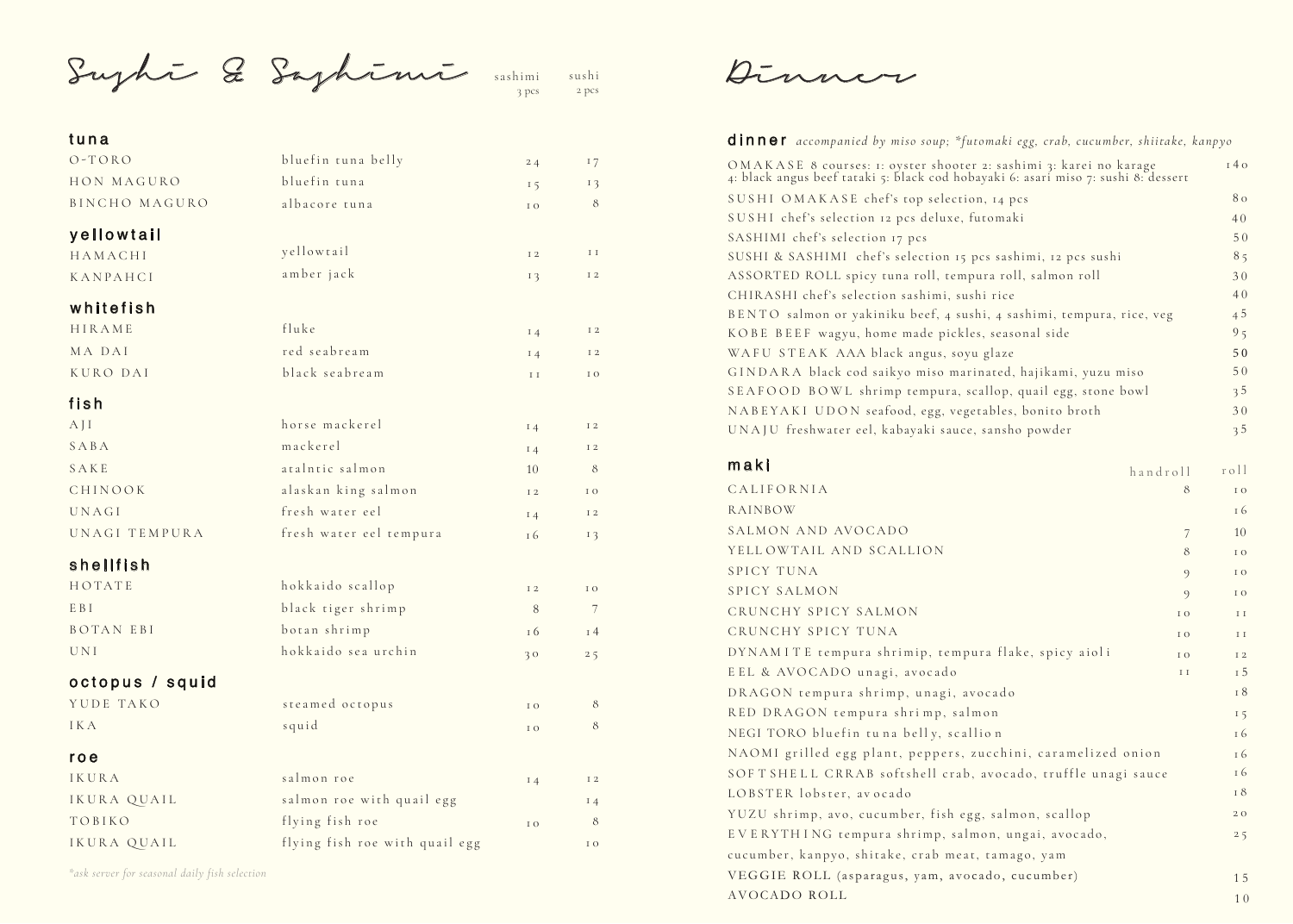Sushi & Sashimi

sushi 2 pcs sashimi 3 pcs

### tuna

| .               |                                |           |                       |
|-----------------|--------------------------------|-----------|-----------------------|
| $O-TORO$        | bluefin tuna belly             | 24        | 17                    |
| HON MAGURO      | bluefin tuna                   | 15        | 13                    |
| BINCHO MAGURO   | albacore tuna                  | I O       | 8                     |
| yellowtail      |                                |           |                       |
| HAMACHI         | yellowtail                     | I 2       | ΙI                    |
| KANPAHCI        | amber jack                     | 13        | I 2                   |
| whitefish       |                                |           |                       |
| HIRAME          | fluke                          | $I_4$     | I 2                   |
| MA DAI          | red seabream                   | $I_4$     | I 2                   |
| KURO DAI        | black seabream                 | I I       | I O                   |
| fish            |                                |           |                       |
| AJI             | horse mackerel                 | $I_4$     | I 2                   |
| SABA            | mackerel                       | $I_4$     | I 2                   |
| SAKE            | atalntic salmon                | 10        | 8                     |
| CHINOOK         | alaskan king salmon            | I 2       | I O                   |
| UNAGI           | fresh water eel                | $I_4$     | I 2                   |
| UNAGI TEMPURA   | fresh water eel tempura        | 16        | 13                    |
| shellfish       |                                |           |                       |
| HOTATE          | hokkaido scallop               | I 2       | IO                    |
| E B I           | black tiger shrimp             | 8         | 7                     |
| BOTAN EBI       | botan shrimp                   | 16        | 14                    |
| UNI             | hokkaido sea urchin            | 30        | 25                    |
| octopus / squid |                                |           |                       |
| YUDE TAKO       | steamed octopus                | I O       | 8                     |
| I K A           | squid                          | I O       | 8                     |
| roe             |                                |           |                       |
| IKURA           | salmon roe                     | $I_4$     | $\scriptstyle\rm I$ 2 |
| IKURA QUAIL     | salmon roe with quail egg      |           | 14                    |
| TOBIKO          | flying fish roe                | $\rm I$ O | 8                     |
| IKURA QUAIL     | flying fish roe with quail egg |           | $\rm I$ O             |
|                 |                                |           |                       |

*\*ask server for seasonal daily fish selection*

Dinner

### dinner *accompanied by miso soup; \*futomaki egg, crab, cucumber, shiitake, kanpyo*

| OMAKASE 8 courses: 1: oyster shooter 2: sashimi 3: karei no karage<br>4: black angus beef tataki 5: black cod hobayaki 6: asari miso 7: sushi 8: dessert | 140            |
|----------------------------------------------------------------------------------------------------------------------------------------------------------|----------------|
| SUSHI OMAKASE chef's top selection, 14 pcs                                                                                                               | 80             |
| SUSHI chef's selection 12 pcs deluxe, futomaki                                                                                                           | 40             |
| SASHIMI chef's selection 17 pcs                                                                                                                          | 50             |
| SUSHI & SASHIMI chef's selection 15 pcs sashimi, 12 pcs sushi                                                                                            | 85             |
| ASSORTED ROLL spicy tuna roll, tempura roll, salmon roll                                                                                                 | 30             |
| CHIRASHI chef's selection sashimi, sushi rice                                                                                                            | 40             |
| BENTO salmon or yakiniku beef, 4 sushi, 4 sashimi, tempura, rice, veg                                                                                    | 4 <sub>5</sub> |
| KOBE BEEF wagyu, home made pickles, seasonal side                                                                                                        | 9 <sub>5</sub> |
| WAFU STEAK AAA black angus, soyu glaze                                                                                                                   | 50             |
| GINDARA black cod saikyo miso marinated, hajikami, yuzu miso                                                                                             | 50             |
| SEAFOOD BOWL shrimp tempura, scallop, quail egg, stone bowl                                                                                              | 35             |
| NABEYAKI UDON seafood, egg, vegetables, bonito broth                                                                                                     | 30             |
| UNAJU freshwater eel, kabayaki sauce, sansho powder                                                                                                      | 35             |

### maki

| III A N I                                                     | handroll | r o 11        |
|---------------------------------------------------------------|----------|---------------|
| CALIFORNIA                                                    | 8        | I O           |
| RAINBOW                                                       |          | 16            |
| SALMON AND AVOCADO                                            | 7        | 10            |
| YELLOWTAIL AND SCALLION                                       | 8        | I O           |
| SPICY TUNA                                                    | $\circ$  | I O           |
| SPICY SALMON                                                  | $\circ$  | I O           |
| CRUNCHY SPICY SALMON                                          | I O      | I I           |
| CRUNCHY SPICY TUNA                                            | I O      | $\rm I\ I$    |
| DYNAMITE tempura shrimip, tempura flake, spicy aioli          | I O      | I 2           |
| EEL & AVOCADO unagi, avocado                                  | I I      | I 5           |
| DRAGON tempura shrimp, unagi, avocado                         |          | I 8           |
| RED DRAGON tempura shrimp, salmon                             |          | 15            |
| NEGI TORO bluefin tuna belly, scallion                        |          | <sup>16</sup> |
| NAOMI grilled egg plant, peppers, zucchini, caramelized onion |          | <sup>16</sup> |
| SOFT SHELL CRRAB softshell crab, avocado, truffle unagi sauce |          | <sup>16</sup> |
| LOBSTER lobster, avocado                                      |          | I 8           |
| YUZU shrimp, avo, cucumber, fish egg, salmon, scallop         |          | 2 O           |
| EVERYTHING tempura shrimp, salmon, ungai, avocado,            |          | 25            |
| cucumber, kanpyo, shitake, crab meat, tamago, yam             |          |               |
| VEGGIE ROLL (asparagus, yam, avocado, cucumber)               |          | 15            |
| AVOCADO ROLL                                                  |          | 10            |